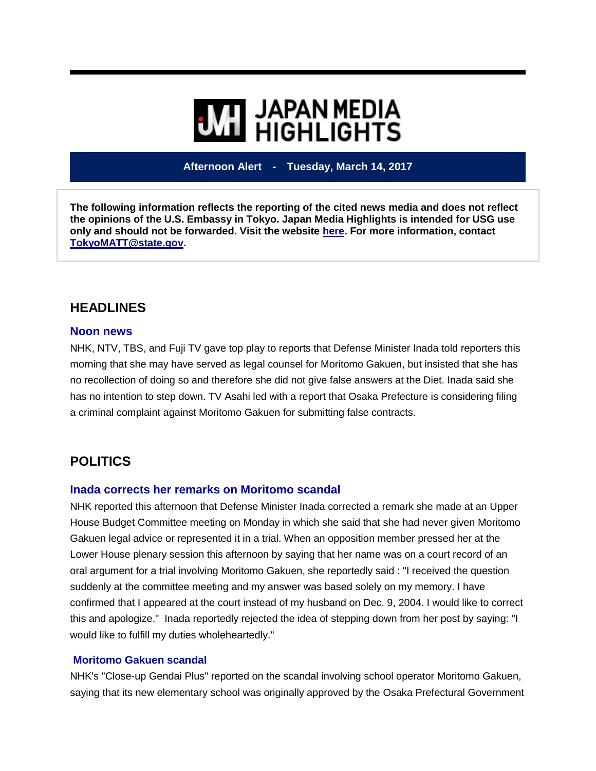# **WE HIGHLIGHTS**

**Afternoon Alert - Tuesday, March 14, 2017**

**The following information reflects the reporting of the cited news media and does not reflect the opinions of the U.S. Embassy in Tokyo. Japan Media Highlights is intended for USG use only and should not be forwarded. Visit the website [here.](https://jmh.usembassy.gov/) For more information, contact [TokyoMATT@state.gov.](mailto:TokyoMATT@state.gov)**

## **HEADLINES**

#### **Noon news**

NHK, NTV, TBS, and Fuji TV gave top play to reports that Defense Minister Inada told reporters this morning that she may have served as legal counsel for Moritomo Gakuen, but insisted that she has no recollection of doing so and therefore she did not give false answers at the Diet. Inada said she has no intention to step down. TV Asahi led with a report that Osaka Prefecture is considering filing a criminal complaint against Moritomo Gakuen for submitting false contracts.

## **POLITICS**

#### **Inada corrects her remarks on Moritomo scandal**

NHK reported this afternoon that Defense Minister Inada corrected a remark she made at an Upper House Budget Committee meeting on Monday in which she said that she had never given Moritomo Gakuen legal advice or represented it in a trial. When an opposition member pressed her at the Lower House plenary session this afternoon by saying that her name was on a court record of an oral argument for a trial involving Moritomo Gakuen, she reportedly said : "I received the question suddenly at the committee meeting and my answer was based solely on my memory. I have confirmed that I appeared at the court instead of my husband on Dec. 9, 2004. I would like to correct this and apologize." Inada reportedly rejected the idea of stepping down from her post by saying: "I would like to fulfill my duties wholeheartedly."

#### **Moritomo Gakuen scandal**

NHK's "Close-up Gendai Plus" reported on the scandal involving school operator Moritomo Gakuen, saying that its new elementary school was originally approved by the Osaka Prefectural Government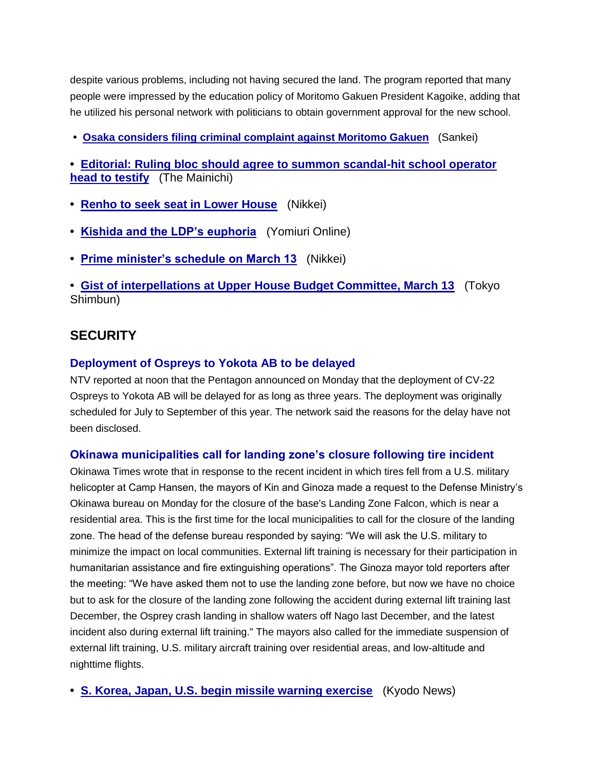despite various problems, including not having secured the land. The program reported that many people were impressed by the education policy of Moritomo Gakuen President Kagoike, adding that he utilized his personal network with politicians to obtain government approval for the new school.

**• [Osaka considers filing criminal complaint against Moritomo Gakuen](https://jmh.usembassy.gov/2017031417111/)** (Sankei)

**• [Editorial: Ruling bloc should agree to summon scandal-hit school operator](https://jmh.usembassy.gov/2017031417087/)  [head to testify](https://jmh.usembassy.gov/2017031417087/)** (The Mainichi)

- **• [Renho to seek seat in Lower House](https://jmh.usembassy.gov/2017031417031/)** (Nikkei)
- **• [Kishida and the LDP's euphoria](https://jmh.usembassy.gov/2017031416970/)** (Yomiuri Online)
- **• [Prime minister's schedule on March 13](https://jmh.usembassy.gov/2017031417089/)** (Nikkei)

**• [Gist of interpellations at Upper House Budget Committee, March 13](https://jmh.usembassy.gov/2017031417114/)** (Tokyo Shimbun)

## **SECURITY**

#### **Deployment of Ospreys to Yokota AB to be delayed**

NTV reported at noon that the Pentagon announced on Monday that the deployment of CV-22 Ospreys to Yokota AB will be delayed for as long as three years. The deployment was originally scheduled for July to September of this year. The network said the reasons for the delay have not been disclosed.

#### **Okinawa municipalities call for landing zone's closure following tire incident**

Okinawa Times wrote that in response to the recent incident in which tires fell from a U.S. military helicopter at Camp Hansen, the mayors of Kin and Ginoza made a request to the Defense Ministry's Okinawa bureau on Monday for the closure of the base's Landing Zone Falcon, which is near a residential area. This is the first time for the local municipalities to call for the closure of the landing zone. The head of the defense bureau responded by saying: "We will ask the U.S. military to minimize the impact on local communities. External lift training is necessary for their participation in humanitarian assistance and fire extinguishing operations". The Ginoza mayor told reporters after the meeting: "We have asked them not to use the landing zone before, but now we have no choice but to ask for the closure of the landing zone following the accident during external lift training last December, the Osprey crash landing in shallow waters off Nago last December, and the latest incident also during external lift training." The mayors also called for the immediate suspension of external lift training, U.S. military aircraft training over residential areas, and low-altitude and nighttime flights.

**• [S. Korea, Japan, U.S. begin missile warning exercise](https://jmh.usembassy.gov/2017031417163/)** (Kyodo News)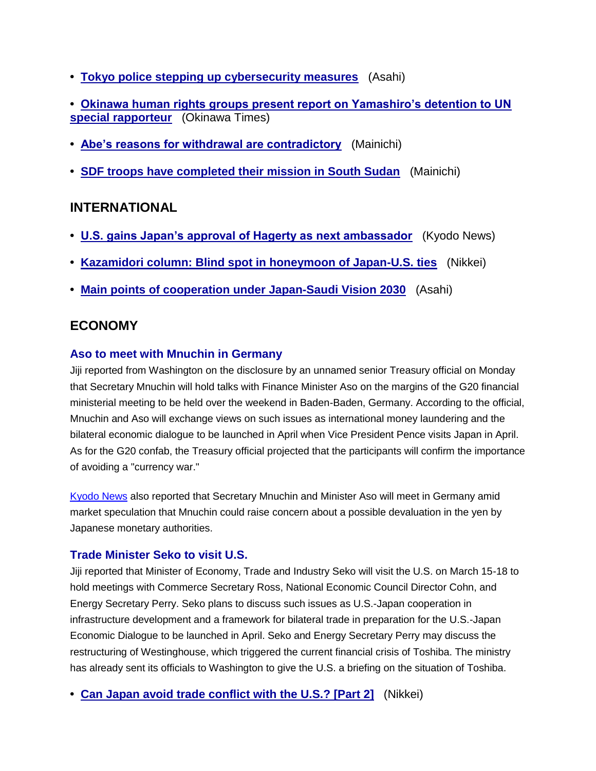- **• [Tokyo police stepping up cybersecurity measures](https://jmh.usembassy.gov/2017031417100/)** (Asahi)
- **• [Okinawa human rights groups present report on Yamashiro's detention to UN](https://jmh.usembassy.gov/2017031417092/)  [special rapporteur](https://jmh.usembassy.gov/2017031417092/)** (Okinawa Times)
- **• [Abe's reasons for withdrawal are contradictory](https://jmh.usembassy.gov/2017031417118/)** (Mainichi)
- **• [SDF troops have completed their mission in South Sudan](https://jmh.usembassy.gov/2017031417066/)** (Mainichi)

## **INTERNATIONAL**

- **• [U.S. gains Japan's approval of Hagerty as next ambassador](https://jmh.usembassy.gov/2017031417102/)** (Kyodo News)
- **• [Kazamidori column: Blind spot in honeymoon of Japan-U.S. ties](https://jmh.usembassy.gov/2017031417109/)** (Nikkei)
- **• [Main points of cooperation under Japan-Saudi Vision 2030](https://jmh.usembassy.gov/2017031417144/)** (Asahi)

## **ECONOMY**

#### **Aso to meet with Mnuchin in Germany**

Jiji reported from Washington on the disclosure by an unnamed senior Treasury official on Monday that Secretary Mnuchin will hold talks with Finance Minister Aso on the margins of the G20 financial ministerial meeting to be held over the weekend in Baden-Baden, Germany. According to the official, Mnuchin and Aso will exchange views on such issues as international money laundering and the bilateral economic dialogue to be launched in April when Vice President Pence visits Japan in April. As for the G20 confab, the Treasury official projected that the participants will confirm the importance of avoiding a "currency war."

[Kyodo News](https://jmh.usembassy.gov/2017031417132/) also reported that Secretary Mnuchin and Minister Aso will meet in Germany amid market speculation that Mnuchin could raise concern about a possible devaluation in the yen by Japanese monetary authorities.

#### **Trade Minister Seko to visit U.S.**

Jiji reported that Minister of Economy, Trade and Industry Seko will visit the U.S. on March 15-18 to hold meetings with Commerce Secretary Ross, National Economic Council Director Cohn, and Energy Secretary Perry. Seko plans to discuss such issues as U.S.-Japan cooperation in infrastructure development and a framework for bilateral trade in preparation for the U.S.-Japan Economic Dialogue to be launched in April. Seko and Energy Secretary Perry may discuss the restructuring of Westinghouse, which triggered the current financial crisis of Toshiba. The ministry has already sent its officials to Washington to give the U.S. a briefing on the situation of Toshiba.

**• [Can Japan avoid trade conflict with the U.S.? \[Part 2\]](https://jmh.usembassy.gov/2017031417007/)** (Nikkei)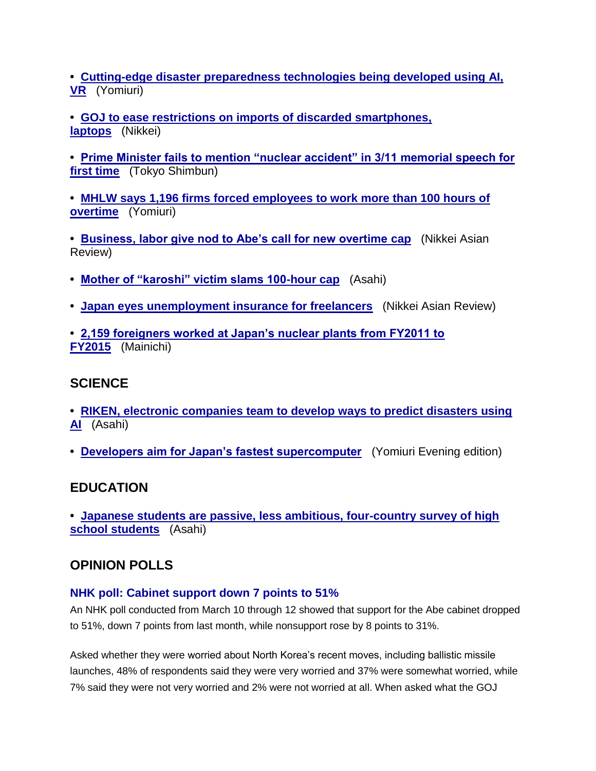**• [Cutting-edge disaster preparedness technologies being developed using AI,](https://jmh.usembassy.gov/2017031417048/)  [VR](https://jmh.usembassy.gov/2017031417048/)** (Yomiuri)

- **• [GOJ to ease restrictions on imports of discarded smartphones,](https://jmh.usembassy.gov/2017031417067/)  [laptops](https://jmh.usembassy.gov/2017031417067/)** (Nikkei)
- **• [Prime Minister fails to mention "nuclear accident" in 3/11 memorial speech for](https://jmh.usembassy.gov/2017031417044/)  [first time](https://jmh.usembassy.gov/2017031417044/)** (Tokyo Shimbun)
- **• [MHLW says 1,196 firms forced employees to work more than 100 hours of](https://jmh.usembassy.gov/2017031417155/)  [overtime](https://jmh.usembassy.gov/2017031417155/)** (Yomiuri)
- **• [Business, labor give nod to Abe's call for new overtime cap](https://jmh.usembassy.gov/2017031417088/)** (Nikkei Asian Review)
- **• [Mother of "karoshi" victim slams 100-hour cap](https://jmh.usembassy.gov/2017031417129/)** (Asahi)
- **• [Japan eyes unemployment insurance for freelancers](https://jmh.usembassy.gov/2017031417090/)** (Nikkei Asian Review)
- **• [2,159 foreigners worked at Japan's nuclear plants from FY2011 to](https://jmh.usembassy.gov/2017031417123/)  [FY2015](https://jmh.usembassy.gov/2017031417123/)** (Mainichi)

## **SCIENCE**

- **• [RIKEN, electronic companies team to develop ways to predict disasters using](https://jmh.usembassy.gov/2017031417119/)  [AI](https://jmh.usembassy.gov/2017031417119/)** (Asahi)
- **• [Developers aim for Japan's fastest supercomputer](https://jmh.usembassy.gov/2017031417130/)** (Yomiuri Evening edition)

### **EDUCATION**

**• [Japanese students are passive, less ambitious, four-country survey of high](https://jmh.usembassy.gov/2017031417170/)  [school students](https://jmh.usembassy.gov/2017031417170/)** (Asahi)

## **OPINION POLLS**

#### **NHK poll: Cabinet support down 7 points to 51%**

An NHK poll conducted from March 10 through 12 showed that support for the Abe cabinet dropped to 51%, down 7 points from last month, while nonsupport rose by 8 points to 31%.

Asked whether they were worried about North Korea's recent moves, including ballistic missile launches, 48% of respondents said they were very worried and 37% were somewhat worried, while 7% said they were not very worried and 2% were not worried at all. When asked what the GOJ